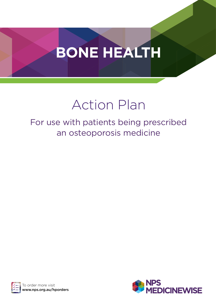# **BONE HEALTH**

## Action Plan

For use with patients being prescribed an osteoporosis medicine



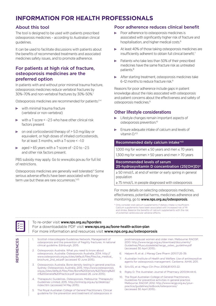## **INFORMATION FOR HEALTH PROFESSIONALS**

## About this tool

The tool is designed to be used with patients prescribed osteoporosis medicines – according to Australian clinical guidelines.

It can be used to facilitate discussions with patients about the benefits of recommended treatments and associated medicines safety issues, and to promote adherence.

## For patients at high risk of fracture, osteoporosis medicines are the preferred option

In patients with and without prior minimal trauma fracture, osteoporosis medicines reduce vertebral fractures by 30%–70% and non-vertebral fractures by 30%–50%.<sup>1</sup>

Osteoporosis medicines are recommended for patients:<sup>2-4</sup>

- $\triangleright$  with minimal trauma fracture (vertebral or non-vertebral)
- $\triangleright$  with a T-score < -2.5 who have other clinical risk factors present
- on oral corticosteroid therapy of > 5.0 mg/day or  $\triangleright$ equivalent, or high doses of inhaled corticosteroids, for at least 3 months, with a T-score < –1.0
- aged > 65 years with a T-score of –2.0 to –2.5 and other risk factors present.

PBS subsidy may apply. Go to www.pbs.gov.au for full list of restrictions.

Osteoporosis medicines are generally well tolerated.<sup>4</sup> Some serious adverse effects have been associated with longterm use but these are rare occurrences.<sup>1,4,5</sup>

## Poor adherence reduces clinical benefit

- К Poor adherence to osteoporosis medicines is associated with significantly higher risk of fracture and hospitalisation, and higher medical costs.6
- At least 40% of those taking osteoporosis medicines are insufficiently adherent to obtain full clinical benefit.<sup>7</sup>
- **Patients who take less than 50% of their prescribed** medicines have the same fracture risk as untreated patients.8
- After starting treatment, osteoporosis medicines take 6–12 months to reduce fracture risk.9

Reasons for poor adherence include gaps in patient knowledge about the risks associated with osteoporosis and patient concerns about the effectiveness and safety of osteoporosis medicines.9

## Other lifestyle considerations

- **EXECUTE:** Lifestyle changes remain important aspects of osteoporosis prevention.10
- Ensure adequate intake of calcium and levels of vitamin  $D<sup>4,5</sup>$

## Recommended daily calcium intake\*4,5

1,000 mg for women  $\leq$  50 years and men  $\leq$  70 years 1,300 mg for women > 50 years and men > 70 years

## Recommended levels of serum 25-hydroxyvitamin D concentration (25[OH]D)4

≥ 50 nmol/L at end of winter or early spring in general population

≥ 75 nmol/L in people diagnosed with osteoporosis

For more details on selecting osteoporosis medicines, effectiveness, potential harms, medicines adherence and monitoring, go to www.nps.org.au/osteoporosis.

\* Only consider oral calcium supplements if dietary intake is insufficient. Calcium supplements have been associated with increased risk of MI and stroke. Balance the benefits of calcium supplements with the risk of potential cardiovascular adverse effects.

REFERENCES

**REFERENCES** 

## To re-order visit www.nps.org.au/hporders

For a downloadable PDF visit www.nps.org.au/bone-health-action-plan For more information and resources visit www.nps.org.au/osteoporosis

- 1. Scottish Intercollegiate Guidelines Network. Management of osteoporosis and the prevention of fragility fractures. A national clinical guideline. Edinburgh, 2015.
- 2. Osteoporosis Australia. What you need to know about osteoporosis. Australia: Osteoporosis Australia, 2014. http:// www.osteoporosis.org.au/sites/default/files/files/oa\_medical\_ brochure\_2nd\_ed.pdf (accessed 10 June 2015).
- 3. Osteoporosis Australia. Bone density testing in general practice. Sydney: Osteoporosis Australia, 2015. http://www.osteoporosis. org.au/sites/default/files/files/Bone%20Density%20Testing%20 in%20General%20Practice.pdf (accessed 26 June 2015).
- 4. Therapeutic Guidelines. Osteoporosis. Melbourne: Therapeutic Guidelines Limited, 2015. http://online.tg.org.au/ip/desktop/ index.htm (accessed 14 May 2015).
- 5. The Royal Australian College of General Practitioners. Clinical guideline for the prevention and treatment of osteoporosis in

postmenopausal women and older men. Melbourne: RACGP, 2010. http://www.racgp.org.au/download/documents/ Guidelines/Musculoskeletal/racgp\_osteo\_guideline.pdf (accessed 30 April 2015).

- 6. Halpern R, et al. J Manag Care Pharm 2011;17:25-39.
- 7. Australian Institute of Health and Welfare. Use of antiresorptive agents for osteoporosis management. Canberra: AIHW, 2011.
- 8. Siris ES, et al. Mayo Clin Proc 2006;81:1013-22.
- 9. Rigby D. The Australian Journal of Pharmacy 2013;94:44-6.
- 10. The Royal Australian College of General Practitioners. Guidelines for preventive activities in general practice. Melbourne: RACGP, 2012. http://www.racgp.org.au/yourpractice/guidelines/redbook/osteoporosis/ (accessed 30 April 2015).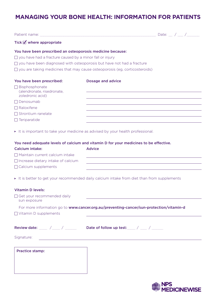## **MANAGING YOUR BONE HEALTH: INFORMATION FOR PATIENTS**

|                                                                              | Patient name: will be a series of the contract of the contract of the contract of the contract of the contract of the contract of the contract of the contract of the contract of the contract of the contract of the contract | Date: $\frac{1}{2}$ / $\frac{1}{2}$ / $\frac{1}{2}$ |
|------------------------------------------------------------------------------|--------------------------------------------------------------------------------------------------------------------------------------------------------------------------------------------------------------------------------|-----------------------------------------------------|
| Tick $\blacksquare$ where appropriate                                        |                                                                                                                                                                                                                                |                                                     |
| You have been prescribed an osteoporosis medicine because:                   |                                                                                                                                                                                                                                |                                                     |
| $\Box$ you have had a fracture caused by a minor fall or injury              |                                                                                                                                                                                                                                |                                                     |
| $\Box$ you have been diagnosed with osteoporosis but have not had a fracture |                                                                                                                                                                                                                                |                                                     |
|                                                                              | $\Box$ you are taking medicines that may cause osteoporosis (eg, corticosteroids)                                                                                                                                              |                                                     |
| You have been prescribed:                                                    | <b>Dosage and advice</b>                                                                                                                                                                                                       |                                                     |
| $\Box$ Bisphosphonate<br>(alendronate, risedronate,<br>zoledronic acid)      |                                                                                                                                                                                                                                |                                                     |
| $\Box$ Denosumab                                                             |                                                                                                                                                                                                                                |                                                     |
| $\Box$ Raloxifene                                                            |                                                                                                                                                                                                                                |                                                     |
| $\Box$ Strontium ranelate                                                    |                                                                                                                                                                                                                                |                                                     |
| $\Box$ Teriparatide                                                          |                                                                                                                                                                                                                                |                                                     |
|                                                                              | It is important to take your medicine as advised by your health professional.                                                                                                                                                  |                                                     |
|                                                                              | You need adequate levels of calcium and vitamin D for your medicines to be effective.                                                                                                                                          |                                                     |
| <b>Calcium intake:</b>                                                       | <b>Advice</b>                                                                                                                                                                                                                  |                                                     |
| $\Box$ Maintain current calcium intake                                       |                                                                                                                                                                                                                                |                                                     |
| $\Box$ Increase dietary intake of calcium                                    |                                                                                                                                                                                                                                |                                                     |
| □ Calcium supplements                                                        |                                                                                                                                                                                                                                |                                                     |
|                                                                              | It is better to get your recommended daily calcium intake from diet than from supplements                                                                                                                                      |                                                     |
| <b>Vitamin D levels:</b>                                                     |                                                                                                                                                                                                                                |                                                     |
| □ Get your recommended daily<br>sun exposure                                 |                                                                                                                                                                                                                                |                                                     |
|                                                                              | For more information go to www.cancer.org.au/preventing-cancer/sun-protection/vitamin-d                                                                                                                                        |                                                     |

□ Vitamin D supplements

Review date: \_\_\_\_\_ /\_\_\_\_ / \_\_\_\_\_ Date of follow up test: \_\_\_\_ / \_\_\_\_ / \_\_\_\_\_

Signature:

| <b>Practice stamp:</b> |  |
|------------------------|--|
|                        |  |
|                        |  |
|                        |  |